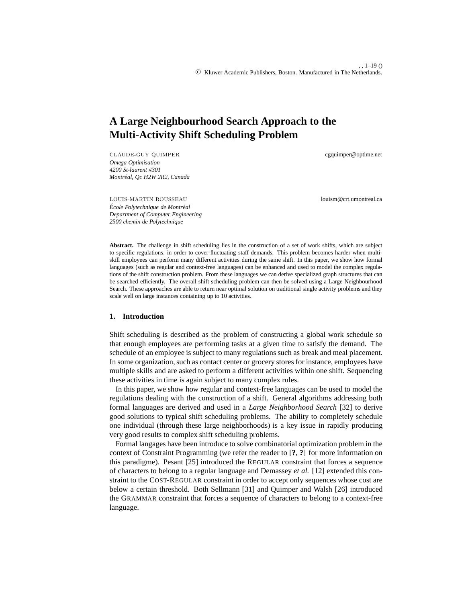# **A Large Neighbourhood Search Approach to the Multi-Activity Shift Scheduling Problem**

CLAUDE-GUY QUIMPER cgquimper@optime.net *Omega Optimisation 4200 St-laurent #301 Montr´eal, Qc H2W 2R2, Canada*

LOUIS-MARTIN ROUSSEAU louism@crt.umontreal.ca

 $École Polytechnique de Montréal$ *Department of Computer Engineering 2500 chemin de Polytechnique*

Abstract. The challenge in shift scheduling lies in the construction of a set of work shifts, which are subject to specific regulations, in order to cover fluctuating staff demands. This problem becomes harder when multiskill employees can perform many different activities during the same shift. In this paper, we show how formal languages (such as regular and context-free languages) can be enhanced and used to model the complex regulations of the shift construction problem. From these languages we can derive specialized graph structures that can be searched efficiently. The overall shift scheduling problem can then be solved using a Large Neighbourhood Search. These approaches are able to return near optimal solution on traditional single activity problems and they scale well on large instances containing up to 10 activities.

## **1. Introduction**

Shift scheduling is described as the problem of constructing a global work schedule so that enough employees are performing tasks at a given time to satisfy the demand. The schedule of an employee is subject to many regulations such as break and meal placement. In some organization, such as contact center or grocery stores for instance, employees have multiple skills and are asked to perform a different activities within one shift. Sequencing these activities in time is again subject to many complex rules.

In this paper, we show how regular and context-free languages can be used to model the regulations dealing with the construction of a shift. General algorithms addressing both formal languages are derived and used in a *Large Neighborhood Search* [32] to derive good solutions to typical shift scheduling problems. The ability to completely schedule one individual (through these large neighborhoods) is a key issue in rapidly producing very good results to complex shift scheduling problems.

Formal langages have been introduce to solve combinatorial optimization problem in the context of Constraint Programming (we refer the reader to [**?**, **?**] for more information on this paradigme). Pesant [25] introduced the REGULAR constraint that forces a sequence of characters to belong to a regular language and Demassey *et al.* [12] extended this constraint to the COST-REGULAR constraint in order to accept only sequences whose cost are below a certain threshold. Both Sellmann [31] and Quimper and Walsh [26] introduced the GRAMMAR constraint that forces a sequence of characters to belong to a context-free language.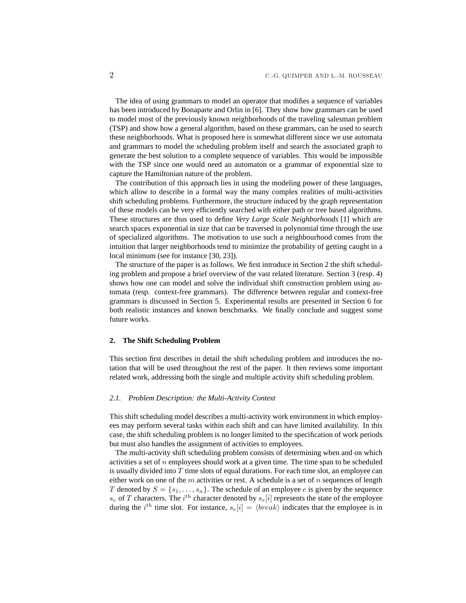The idea of using grammars to model an operator that modifies a sequence of variables has been introduced by Bonaparte and Orlin in [6]. They show how grammars can be used to model most of the previously known neighborhoods of the traveling salesman problem (TSP) and show how a general algorithm, based on these grammars, can be used to search these neighborhoods. What is proposed here is somewhat different since we use automata and grammars to model the scheduling problem itself and search the associated graph to generate the best solution to a complete sequence of variables. This would be impossible with the TSP since one would need an automaton or a grammar of exponential size to capture the Hamiltonian nature of the problem.

The contribution of this approach lies in using the modeling power of these languages, which allow to describe in a formal way the many complex realities of multi-activities shift scheduling problems. Furthermore, the structure induced by the graph representation of these models can be very efficiently searched with either path or tree based algorithms. These structures are thus used to define *Very Large Scale Neighborhoods* [1] which are search spaces exponential in size that can be traversed in polynomial time through the use of specialized algorithms. The motivation to use such a neighbourhood comes from the intuition that larger neighborhoods tend to minimize the probability of getting caught in a local minimum (see for instance [30, 23]).

The structure of the paper is as follows. We first introduce in Section 2 the shift scheduling problem and propose a brief overview of the vast related literature. Section 3 (resp. 4) shows how one can model and solve the individual shift construction problem using automata (resp. context-free grammars). The difference between regular and context-free grammars is discussed in Section 5. Experimental results are presented in Section 6 for both realistic instances and known benchmarks. We finally conclude and suggest some future works.

#### **2. The Shift Scheduling Problem**

This section first describes in detail the shift scheduling problem and introduces the notation that will be used throughout the rest of the paper. It then reviews some important related work, addressing both the single and multiple activity shift scheduling problem.

### *2.1. Problem Description: the Multi-Activity Context*

This shift scheduling model describes a multi-activity work environment in which employees may perform several tasks within each shift and can have limited availability. In this case, the shift scheduling problem is no longer limited to the specification of work periods but must also handles the assignment of activities to employees.

The multi-activity shift scheduling problem consists of determining when and on which activities a set of n employees should work at a given time. The time span to be scheduled is usually divided into  $T$  time slots of equal durations. For each time slot, an employee can either work on one of the m activities or rest. A schedule is a set of n sequences of length T denoted by  $S = \{s_1, \ldots, s_n\}$ . The schedule of an employee e is given by the sequence  $s_e$  of T characters. The  $i^{th}$  character denoted by  $s_e[i]$  represents the state of the employee during the i<sup>th</sup> time slot. For instance,  $s_e[i] = \langle break \rangle$  indicates that the employee is in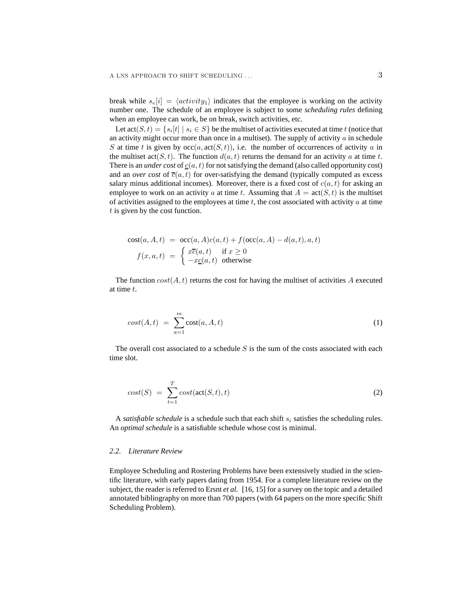break while  $s_e[i] = \langle activity_1\rangle$  indicates that the employee is working on the activity number one. The schedule of an employee is subject to some *scheduling rules* defining when an employee can work, be on break, switch activities, etc.

Let  $\text{act}(S, t) = \{s_i[t] \mid s_i \in S\}$  be the multiset of activities executed at time  $t$  (notice that an activity might occur more than once in a multiset). The supply of activity  $a$  in schedule S at time t is given by  $\operatorname{occ}(a, \operatorname{act}(S, t))$ , i.e. the number of occurrences of activity a in the multiset  $\text{act}(S, t)$ . The function  $d(a, t)$  returns the demand for an activity a at time t. There is an *under cost* of  $\underline{c}(a, t)$  for not satisfying the demand (also called opportunity cost) and an *over cost* of  $\overline{c}(a, t)$  for over-satisfying the demand (typically computed as excess salary minus additional incomes). Moreover, there is a fixed cost of  $c(a, t)$  for asking an employee to work on an activity a at time t. Assuming that  $A = \text{act}(S, t)$  is the multiset of activities assigned to the employees at time  $t$ , the cost associated with activity  $a$  at time  $t$  is given by the cost function.

$$
cost(a, A, t) = occ(a, A)c(a, t) + f(occ(a, A) - d(a, t), a, t)
$$
  

$$
f(x, a, t) = \begin{cases} x\overline{c}(a, t) & \text{if } x \ge 0\\ -x\underline{c}(a, t) & \text{otherwise} \end{cases}
$$

The function  $cost(A, t)$  returns the cost for having the multiset of activities A executed at time t.

$$
cost(A, t) = \sum_{a=1}^{m} cost(a, A, t)
$$
\n(1)

The overall cost associated to a schedule  $S$  is the sum of the costs associated with each time slot.

$$
cost(S) = \sum_{t=1}^{T} cost(\text{act}(S, t), t)
$$
\n(2)

A *satisfiable schedule* is a schedule such that each shift  $s_i$  satisfies the scheduling rules. An *optimal schedule* is a satisfiable schedule whose cost is minimal.

#### *2.2. Literature Review*

Employee Scheduling and Rostering Problems have been extensively studied in the scientific literature, with early papers dating from 1954. For a complete literature review on the subject, the reader is referred to Ersnt *et al.* [16, 15] for a survey on the topic and a detailed annotated bibliography on more than 700 papers (with 64 papers on the more specific Shift Scheduling Problem).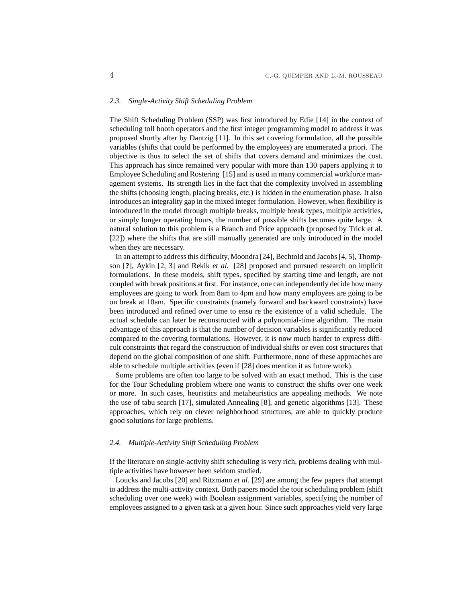#### *2.3. Single-Activity Shift Scheduling Problem*

The Shift Scheduling Problem (SSP) was first introduced by Edie [14] in the context of scheduling toll booth operators and the first integer programming model to address it was proposed shortly after by Dantzig [11]. In this set covering formulation, all the possible variables (shifts that could be performed by the employees) are enumerated a priori. The objective is thus to select the set of shifts that covers demand and minimizes the cost. This approach has since remained very popular with more than 130 papers applying it to Employee Scheduling and Rostering [15] and is used in many commercial workforce management systems. Its strength lies in the fact that the complexity involved in assembling the shifts (choosing length, placing breaks, etc.) is hidden in the enumeration phase. It also introduces an integrality gap in the mixed integer formulation. However, when flexibility is introduced in the model through multiple breaks, multiple break types, multiple activities, or simply longer operating hours, the number of possible shifts becomes quite large. A natural solution to this problem is a Branch and Price approach (proposed by Trick et al. [22]) where the shifts that are still manually generated are only introduced in the model when they are necessary.

In an attempt to address this difficulty, Moondra [24], Bechtold and Jacobs [4, 5], Thompson [**?**], Aykin [2, 3] and Rekik *et al.* [28] proposed and pursued research on implicit formulations. In these models, shift types, specified by starting time and length, are not coupled with break positions at first. For instance, one can independently decide how many employees are going to work from 8am to 4pm and how many employees are going to be on break at 10am. Specific constraints (namely forward and backward constraints) have been introduced and refined over time to ensu re the existence of a valid schedule. The actual schedule can later be reconstructed with a polynomial-time algorithm. The main advantage of this approach is that the number of decision variables is significantly reduced compared to the covering formulations. However, it is now much harder to express difficult constraints that regard the construction of individual shifts or even cost structures that depend on the global composition of one shift. Furthermore, none of these approaches are able to schedule multiple activities (even if [28] does mention it as future work).

Some problems are often too large to be solved with an exact method. This is the case for the Tour Scheduling problem where one wants to construct the shifts over one week or more. In such cases, heuristics and metaheuristics are appealing methods. We note the use of tabu search [17], simulated Annealing [8], and genetic algorithms [13]. These approaches, which rely on clever neighborhood structures, are able to quickly produce good solutions for large problems.

#### *2.4. Multiple-Activity Shift Scheduling Problem*

If the literature on single-activity shift scheduling is very rich, problems dealing with multiple activities have however been seldom studied.

Loucks and Jacobs [20] and Ritzmann *et al.* [29] are among the few papers that attempt to address the multi-activity context. Both papers model the tour scheduling problem (shift scheduling over one week) with Boolean assignment variables, specifying the number of employees assigned to a given task at a given hour. Since such approaches yield very large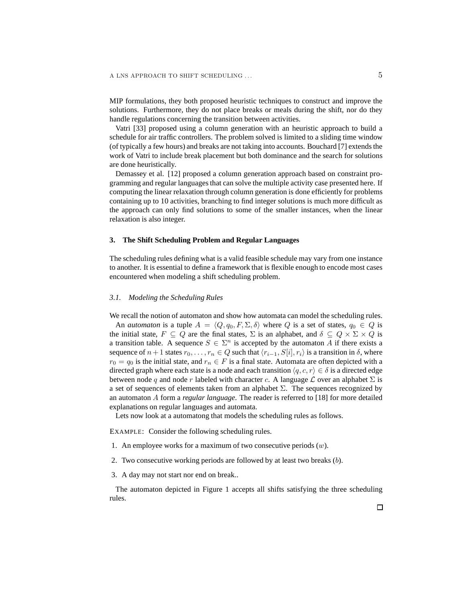MIP formulations, they both proposed heuristic techniques to construct and improve the solutions. Furthermore, they do not place breaks or meals during the shift, nor do they handle regulations concerning the transition between activities.

Vatri [33] proposed using a column generation with an heuristic approach to build a schedule for air traffic controllers. The problem solved is limited to a sliding time window (of typically a few hours) and breaks are not taking into accounts. Bouchard [7] extends the work of Vatri to include break placement but both dominance and the search for solutions are done heuristically.

Demassey et al. [12] proposed a column generation approach based on constraint programming and regular languages that can solve the multiple activity case presented here. If computing the linear relaxation through column generation is done efficiently for problems containing up to 10 activities, branching to find integer solutions is much more difficult as the approach can only find solutions to some of the smaller instances, when the linear relaxation is also integer.

#### **3. The Shift Scheduling Problem and Regular Languages**

The scheduling rules defining what is a valid feasible schedule may vary from one instance to another. It is essential to define a framework that is flexible enough to encode most cases encountered when modeling a shift scheduling problem.

## *3.1. Modeling the Scheduling Rules*

We recall the notion of automaton and show how automata can model the scheduling rules. An *automaton* is a tuple  $A = \langle Q, q_0, F, \Sigma, \delta \rangle$  where Q is a set of states,  $q_0 \in Q$  is the initial state,  $F \subseteq Q$  are the final states,  $\Sigma$  is an alphabet, and  $\delta \subseteq Q \times \Sigma \times Q$  is a transition table. A sequence  $S \in \Sigma^n$  is accepted by the automaton A if there exists a sequence of  $n+1$  states  $r_0, \ldots, r_n \in Q$  such that  $\langle r_{i-1}, S[i], r_i \rangle$  is a transition in  $\delta$ , where  $r_0 = q_0$  is the initial state, and  $r_n \in F$  is a final state. Automata are often depicted with a directed graph where each state is a node and each transition  $\langle q, c, r \rangle \in \delta$  is a directed edge between node q and node r labeled with character c. A language  $\mathcal L$  over an alphabet  $\Sigma$  is a set of sequences of elements taken from an alphabet  $\Sigma$ . The sequences recognized by an automaton A form a *regular language*. The reader is referred to [18] for more detailed explanations on regular languages and automata.

Lets now look at a automatong that models the scheduling rules as follows.

EXAMPLE: Consider the following scheduling rules.

1. An employee works for a maximum of two consecutive periods  $(w)$ .

- 2. Two consecutive working periods are followed by at least two breaks (b).
- 3. A day may not start nor end on break..

The automaton depicted in Figure 1 accepts all shifts satisfying the three scheduling rules.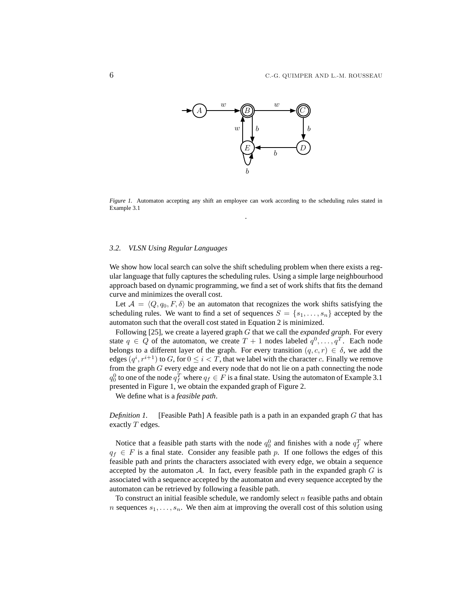

*Figure 1.* Automaton accepting any shift an employee can work according to the scheduling rules stated in Example 3.1 .

#### *3.2. VLSN Using Regular Languages*

We show how local search can solve the shift scheduling problem when there exists a regular language that fully captures the scheduling rules. Using a simple large neighbourhood approach based on dynamic programming, we find a set of work shifts that fits the demand curve and minimizes the overall cost.

Let  $A = \langle Q, q_0, F, \delta \rangle$  be an automaton that recognizes the work shifts satisfying the scheduling rules. We want to find a set of sequences  $S = \{s_1, \ldots, s_n\}$  accepted by the automaton such that the overall cost stated in Equation 2 is minimized.

Following [25], we create a layered graph G that we call the *expanded graph*. For every state  $q \in Q$  of the automaton, we create  $T + 1$  nodes labeled  $q^0, \ldots, q^T$ . Each node belongs to a different layer of the graph. For every transition  $(q, c, r) \in \delta$ , we add the edges  $(q^i, r^{i+1})$  to  $G$ , for  $0 \le i < T$ , that we label with the character  $c$ . Finally we remove from the graph G every edge and every node that do not lie on a path connecting the node  $q_0^0$  to one of the node  $q_f^T$  where  $q_f \in F$  is a final state. Using the automaton of Example 3.1 presented in Figure 1, we obtain the expanded graph of Figure 2.

We define what is a *feasible path*.

*Definition 1.* [Feasible Path] A feasible path is a path in an expanded graph G that has exactly T edges.

Notice that a feasible path starts with the node  $q_0^0$  and finishes with a node  $q_f^T$  where  $q_f \in F$  is a final state. Consider any feasible path p. If one follows the edges of this feasible path and prints the characters associated with every edge, we obtain a sequence accepted by the automaton  $A$ . In fact, every feasible path in the expanded graph  $G$  is associated with a sequence accepted by the automaton and every sequence accepted by the automaton can be retrieved by following a feasible path.

To construct an initial feasible schedule, we randomly select  $n$  feasible paths and obtain n sequences  $s_1, \ldots, s_n$ . We then aim at improving the overall cost of this solution using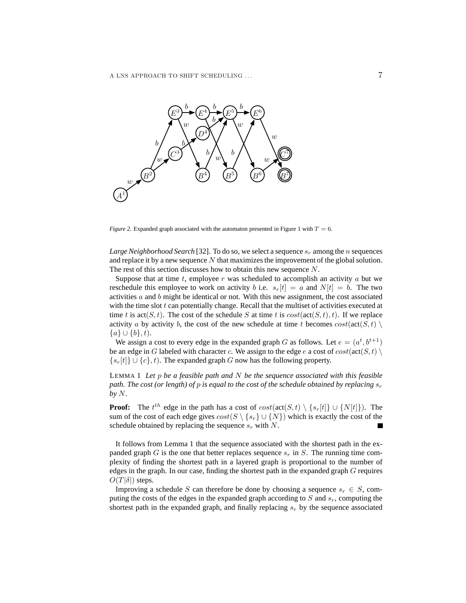

*Figure 2.* Expanded graph associated with the automaton presented in Figure 1 with  $T = 6$ .

*Large Neighborhood Search* [32]. To do so, we select a sequence  $s_r$  among the *n* sequences and replace it by a new sequence  $N$  that maximizes the improvement of the global solution. The rest of this section discusses how to obtain this new sequence N.

Suppose that at time t, employee r was scheduled to accomplish an activity  $a$  but we reschedule this employee to work on activity b i.e.  $s_r[t] = a$  and  $N[t] = b$ . The two activities  $a$  and  $b$  might be identical or not. With this new assignment, the cost associated with the time slot  $t$  can potentially change. Recall that the multiset of activities executed at time t is  $act(S, t)$ . The cost of the schedule S at time t is  $cost(act(S, t), t)$ . If we replace activity a by activity b, the cost of the new schedule at time t becomes  $cost(\text{act}(S, t) \setminus$  ${a} \cup {b}, t$ .

We assign a cost to every edge in the expanded graph G as follows. Let  $e = (a^t, b^{t+1})$ be an edge in G labeled with character c. We assign to the edge e a cost of  $cost(\text{act}(S, t))$  $\{s_r[t]\} \cup \{c\}, t$ ). The expanded graph G now has the following property.

LEMMA 1 *Let* p *be a feasible path and* N *be the sequence associated with this feasible path. The cost (or length) of p is equal to the cost of the schedule obtained by replacing*  $s_r$ *by* N*.*

**Proof:** The  $t^{th}$  edge in the path has a cost of  $cost(\text{act}(S, t) \setminus \{s_r[t]\} \cup \{N[t]\})$ . The sum of the cost of each edge gives  $cost(S \setminus \{s_r\} \cup \{N\})$  which is exactly the cost of the schedule obtained by replacing the sequence  $s_r$  with N.

It follows from Lemma 1 that the sequence associated with the shortest path in the expanded graph G is the one that better replaces sequence  $s_r$  in S. The running time complexity of finding the shortest path in a layered graph is proportional to the number of edges in the graph. In our case, finding the shortest path in the expanded graph G requires  $O(T|\delta|)$  steps.

Improving a schedule S can therefore be done by choosing a sequence  $s_r \in S$ , computing the costs of the edges in the expanded graph according to  $S$  and  $s_r$ , computing the shortest path in the expanded graph, and finally replacing  $s_r$  by the sequence associated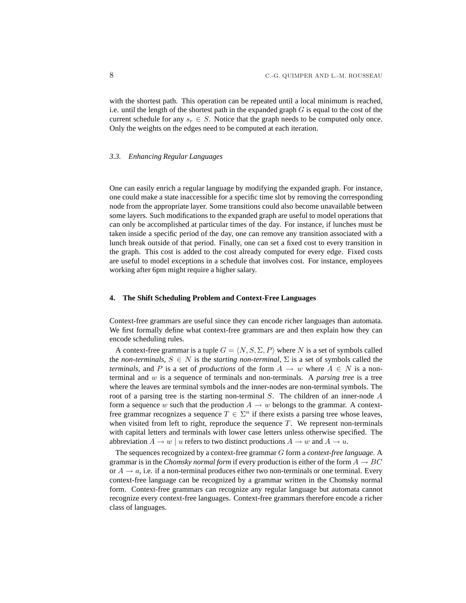with the shortest path. This operation can be repeated until a local minimum is reached, i.e. until the length of the shortest path in the expanded graph  $G$  is equal to the cost of the current schedule for any  $s_r \in S$ . Notice that the graph needs to be computed only once. Only the weights on the edges need to be computed at each iteration.

#### *3.3. Enhancing Regular Languages*

One can easily enrich a regular language by modifying the expanded graph. For instance, one could make a state inaccessible for a specific time slot by removing the corresponding node from the appropriate layer. Some transitions could also become unavailable between some layers. Such modifications to the expanded graph are useful to model operations that can only be accomplished at particular times of the day. For instance, if lunches must be taken inside a specific period of the day, one can remove any transition associated with a lunch break outside of that period. Finally, one can set a fixed cost to every transition in the graph. This cost is added to the cost already computed for every edge. Fixed costs are useful to model exceptions in a schedule that involves cost. For instance, employees working after 6pm might require a higher salary.

# **4. The Shift Scheduling Problem and Context-Free Languages**

Context-free grammars are useful since they can encode richer languages than automata. We first formally define what context-free grammars are and then explain how they can encode scheduling rules.

A context-free grammar is a tuple  $G = \langle N, S, \Sigma, P \rangle$  where N is a set of symbols called the *non-terminals*,  $S \in N$  is the *starting non-terminal*,  $\Sigma$  is a set of symbols called the *terminals*, and P is a set of *productions* of the form  $A \rightarrow w$  where  $A \in N$  is a nonterminal and w is a sequence of terminals and non-terminals. A *parsing tree* is a tree where the leaves are terminal symbols and the inner-nodes are non-terminal symbols. The root of a parsing tree is the starting non-terminal S. The children of an inner-node A form a sequence w such that the production  $A \rightarrow w$  belongs to the grammar. A contextfree grammar recognizes a sequence  $T \in \Sigma^n$  if there exists a parsing tree whose leaves, when visited from left to right, reproduce the sequence  $T$ . We represent non-terminals with capital letters and terminals with lower case letters unless otherwise specified. The abbreviation  $A \to w \mid u$  refers to two distinct productions  $A \to w$  and  $A \to u$ .

The sequences recognized by a context-free grammar G form a *context-free language*. A grammar is in the *Chomsky normal form* if every production is either of the form  $A \rightarrow BC$ or  $A \rightarrow a$ , i.e. if a non-terminal produces either two non-terminals or one terminal. Every context-free language can be recognized by a grammar written in the Chomsky normal form. Context-free grammars can recognize any regular language but automata cannot recognize every context-free languages. Context-free grammars therefore encode a richer class of languages.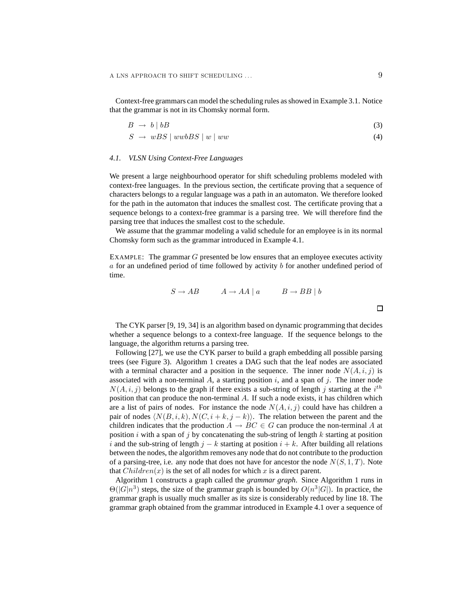Context-free grammars can model the scheduling rules as showed in Example 3.1. Notice that the grammar is not in its Chomsky normal form.

$$
B \to b \mid bB \tag{3}
$$

$$
S \rightarrow wBS \mid wwbBS \mid w \mid ww \tag{4}
$$

## *4.1. VLSN Using Context-Free Languages*

We present a large neighbourhood operator for shift scheduling problems modeled with context-free languages. In the previous section, the certificate proving that a sequence of characters belongs to a regular language was a path in an automaton. We therefore looked for the path in the automaton that induces the smallest cost. The certificate proving that a sequence belongs to a context-free grammar is a parsing tree. We will therefore find the parsing tree that induces the smallest cost to the schedule.

We assume that the grammar modeling a valid schedule for an employee is in its normal Chomsky form such as the grammar introduced in Example 4.1.

EXAMPLE: The grammar G presented be low ensures that an employee executes activity  $a$  for an undefined period of time followed by activity  $b$  for another undefined period of time.

$$
S \to AB \qquad A \to AA \mid a \qquad B \to BB \mid b
$$

The CYK parser [9, 19, 34] is an algorithm based on dynamic programming that decides whether a sequence belongs to a context-free language. If the sequence belongs to the language, the algorithm returns a parsing tree.

Following [27], we use the CYK parser to build a graph embedding all possible parsing trees (see Figure 3). Algorithm 1 creates a DAG such that the leaf nodes are associated with a terminal character and a position in the sequence. The inner node  $N(A, i, j)$  is associated with a non-terminal A, a starting position  $i$ , and a span of  $j$ . The inner node  $N(A, i, j)$  belongs to the graph if there exists a sub-string of length j starting at the  $i^{th}$ position that can produce the non-terminal A. If such a node exists, it has children which are a list of pairs of nodes. For instance the node  $N(A, i, j)$  could have has children a pair of nodes  $\langle N(B, i, k), N(C, i + k, j - k) \rangle$ . The relation between the parent and the children indicates that the production  $A \rightarrow BC \in G$  can produce the non-terminal A at position  $i$  with a span of  $j$  by concatenating the sub-string of length  $k$  starting at position i and the sub-string of length  $j - k$  starting at position  $i + k$ . After building all relations between the nodes, the algorithm removes any node that do not contribute to the production of a parsing-tree, i.e. any node that does not have for ancestor the node  $N(S, 1, T)$ . Note that  $Children(x)$  is the set of all nodes for which x is a direct parent.

Algorithm 1 constructs a graph called the *grammar graph*. Since Algorithm 1 runs in  $\Theta(|G|n^3)$  steps, the size of the grammar graph is bounded by  $O(n^3|G|)$ . In practice, the grammar graph is usually much smaller as its size is considerably reduced by line 18. The grammar graph obtained from the grammar introduced in Example 4.1 over a sequence of

 $\Box$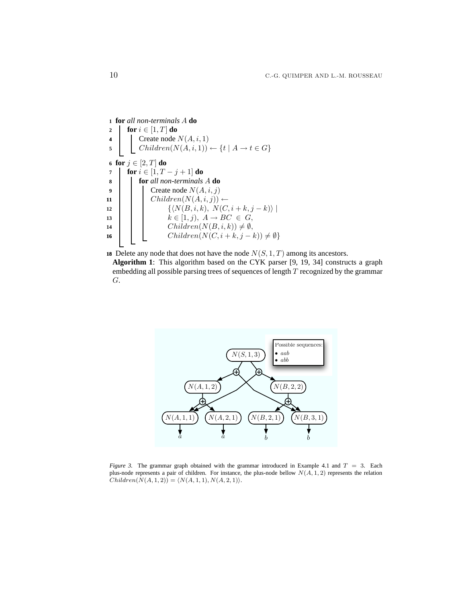**for** *all non-terminals* A **do for**  $i \in [1, T]$  **do**  Create node  $N(A, i, 1)$ 5 | Children $(N(A, i, 1)) \leftarrow \{t \mid A \rightarrow t \in G\}$  **for**  $j \in [2, T]$  **do for**  $i \in [1, T - j + 1]$  **do for** *all non-terminals* A **do** Create node  $N(A, i, j)$  | Children( $N(A, i, j)$ ) ←  $\left\{ \left\langle N(B, i, k), N(C, i + k, j - k) \right\rangle \right\}$   $\vert \vert$   $\vert$   $k \in [1, j)$ ,  $A \rightarrow BC \in G$ , Children $(N(B, i, k)) \neq \emptyset$ ,  $\left\{\n \begin{array}{c}\n \end{array}\n \right.\n \left.\n \begin{array}{c}\n \text{Children}(N(C, i + k, j - k)) \neq \emptyset\n \end{array}\n \right\}$ 

**18** Delete any node that does not have the node  $N(S, 1, T)$  among its ancestors.

**Algorithm 1**: This algorithm based on the CYK parser [9, 19, 34] constructs a graph embedding all possible parsing trees of sequences of length  $T$  recognized by the grammar G.



*Figure 3.* The grammar graph obtained with the grammar introduced in Example 4.1 and  $T = 3$ . Each plus-node represents a pair of children. For instance, the plus-node bellow  $N(A, 1, 2)$  represents the relation  $Children(N(A, 1, 2)) = \langle N(A, 1, 1), N(A, 2, 1)\rangle.$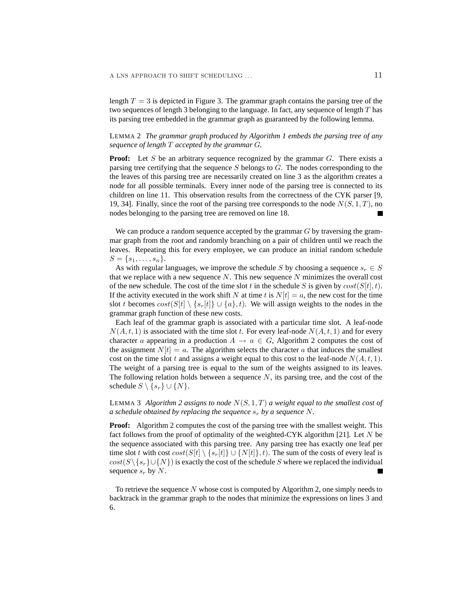length  $T = 3$  is depicted in Figure 3. The grammar graph contains the parsing tree of the two sequences of length 3 belonging to the language. In fact, any sequence of length T has its parsing tree embedded in the grammar graph as guaranteed by the following lemma.

LEMMA 2 *The grammar graph produced by Algorithm 1 embeds the parsing tree of any sequence of length* T *accepted by the grammar* G*.*

**Proof:** Let S be an arbitrary sequence recognized by the grammar  $G$ . There exists a parsing tree certifying that the sequence  $S$  belongs to  $G$ . The nodes corresponding to the the leaves of this parsing tree are necessarily created on line 3 as the algorithm creates a node for all possible terminals. Every inner node of the parsing tree is connected to its children on line 11. This observation results from the correctness of the CYK parser [9, 19, 34]. Finally, since the root of the parsing tree corresponds to the node  $N(S, 1, T)$ , no nodes belonging to the parsing tree are removed on line 18.

We can produce a random sequence accepted by the grammar  $G$  by traversing the grammar graph from the root and randomly branching on a pair of children until we reach the leaves. Repeating this for every employee, we can produce an initial random schedule  $S = \{s_1, \ldots, s_n\}.$ 

As with regular languages, we improve the schedule S by choosing a sequence  $s_r \in S$ that we replace with a new sequence  $N$ . This new sequence  $N$  minimizes the overall cost of the new schedule. The cost of the time slot t in the schedule S is given by  $cost(S[t], t)$ . If the activity executed in the work shift N at time t is  $N[t] = a$ , the new cost for the time slot t becomes  $cost(S[t] \setminus \{s_r[t]\} \cup \{a\}, t)$ . We will assign weights to the nodes in the grammar graph function of these new costs.

Each leaf of the grammar graph is associated with a particular time slot. A leaf-node  $N(A, t, 1)$  is associated with the time slot t. For every leaf-node  $N(A, t, 1)$  and for every character a appearing in a production  $A \rightarrow a \in G$ , Algorithm 2 computes the cost of the assignment  $N[t] = a$ . The algorithm selects the character a that induces the smallest cost on the time slot t and assigns a weight equal to this cost to the leaf-node  $N(A, t, 1)$ . The weight of a parsing tree is equal to the sum of the weights assigned to its leaves. The following relation holds between a sequence  $N$ , its parsing tree, and the cost of the schedule  $S \setminus \{s_r\} \cup \{N\}.$ 

LEMMA 3 *Algorithm 2 assigns to node*  $N(S, 1, T)$  *a weight equal to the smallest cost of a schedule obtained by replacing the sequence*  $s_r$  *by a sequence* N.

**Proof:** Algorithm 2 computes the cost of the parsing tree with the smallest weight. This fact follows from the proof of optimality of the weighted-CYK algorithm [21]. Let  $N$  be the sequence associated with this parsing tree. Any parsing tree has exactly one leaf per time slot t with cost  $cost(S[t] \setminus \{s_r[t]\} \cup \{N[t]\}, t)$ . The sum of the costs of every leaf is  $cost(S\backslash \{s_r\} \cup \{N\})$  is exactly the cost of the schedule S where we replaced the individual sequence  $s_r$  by N.

To retrieve the sequence N whose cost is computed by Algorithm 2, one simply needs to backtrack in the grammar graph to the nodes that minimize the expressions on lines 3 and 6.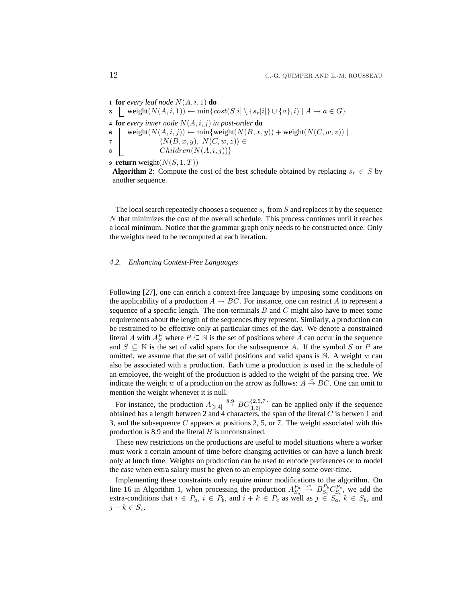**for** *every leaf node*  $N(A, i, 1)$  **do**  $\begin{array}{l} \texttt{3} \quad \underline{\quad} \text{ weight}(N(A, i, 1)) \leftarrow \min \{cost(S[i] \setminus \{s_r[i]\} \cup \{a\}, i) \mid A \rightarrow a \in G\} \end{array}$  **for** *every inner node*  $N(A, i, j)$  *in post-order* **do** 6 weight( $N(A, i, j)$ )  $\leftarrow$  min{weight( $N(B, x, y)$ ) + weight( $N(C, w, z)$ ) |  $\langle N(B, x, y), N(C, w, z) \rangle \in$  Children $(N(A, i, j))$ } **return** weight $(N(S, 1, T))$ 

**Algorithm 2:** Compute the cost of the best schedule obtained by replacing  $s_r \in S$  by another sequence.

The local search repeatedly chooses a sequence  $s_r$  from S and replaces it by the sequence  $N$  that minimizes the cost of the overall schedule. This process continues until it reaches a local minimum. Notice that the grammar graph only needs to be constructed once. Only the weights need to be recomputed at each iteration.

#### *4.2. Enhancing Context-Free Languages*

Following [27], one can enrich a context-free language by imposing some conditions on the applicability of a production  $A \rightarrow BC$ . For instance, one can restrict A to represent a sequence of a specific length. The non-terminals  $B$  and  $C$  might also have to meet some requirements about the length of the sequences they represent. Similarly, a production can be restrained to be effective only at particular times of the day. We denote a constrained literal A with  $A_S^P$  where  $P \subseteq \mathbb{N}$  is the set of positions where A can occur in the sequence and  $S \subseteq \mathbb{N}$  is the set of valid spans for the subsequence A. If the symbol S or P are omitted, we assume that the set of valid positions and valid spans is  $\mathbb N$ . A weight w can also be associated with a production. Each time a production is used in the schedule of an employee, the weight of the production is added to the weight of the parsing tree. We indicate the weight w of a production on the arrow as follows:  $A \xrightarrow{c} BC$ . One can omit to mention the weight whenever it is null.

For instance, the production  $A_{[2,4]} \stackrel{8.9}{\rightarrow} BC_{[1,3]}^{2,5,7}$  can be applied only if the sequence obtained has a length between 2 and 4 characters, the span of the literal  $C$  is betwen 1 and 3, and the subsequence  $C$  appears at positions 2, 5, or 7. The weight associated with this production is 8.9 and the literal B is unconstrained.

These new restrictions on the productions are useful to model situations where a worker must work a certain amount of time before changing activities or can have a lunch break only at lunch time. Weights on production can be used to encode preferences or to model the case when extra salary must be given to an employee doing some over-time.

Implementing these constraints only require minor modifications to the algorithm. On line 16 in Algorithm 1, when processing the production  $A_{S_a}^{P_a} \stackrel{w}{\rightarrow} B_{S_b}^{P_b} C_{S_c}^{P_c}$ , we add the extra-conditions that  $i \in P_a$ ,  $i \in P_b$ , and  $i + k \in P_c$  as well as  $j \in S_a$ ,  $k \in S_b$ , and  $j - k \in S_c$ .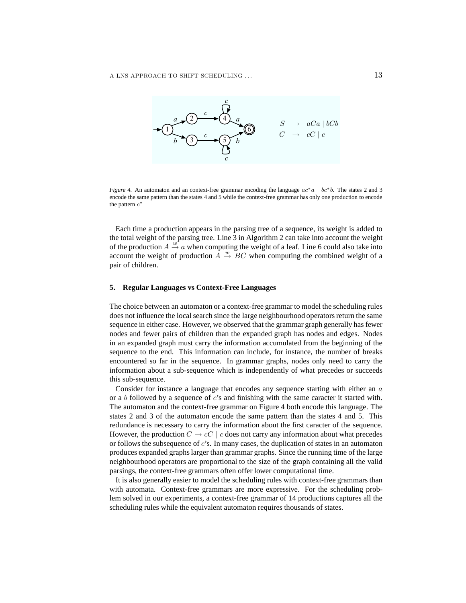

*Figure 4.* An automaton and an context-free grammar encoding the language  $ac<sup>*</sup>a | bc<sup>*</sup>b$ . The states 2 and 3 encode the same pattern than the states 4 and 5 while the context-free grammar has only one production to encode the pattern  $c^*$ 

Each time a production appears in the parsing tree of a sequence, its weight is added to the total weight of the parsing tree. Line 3 in Algorithm 2 can take into account the weight of the production  $A \stackrel{w}{\rightarrow} a$  when computing the weight of a leaf. Line 6 could also take into account the weight of production  $\overrightarrow{A} \stackrel{w}{\rightarrow} \overrightarrow{BC}$  when computing the combined weight of a pair of children.

## **5. Regular Languages vs Context-Free Languages**

The choice between an automaton or a context-free grammar to model the scheduling rules does not influence the local search since the large neighbourhood operators return the same sequence in either case. However, we observed that the grammar graph generally has fewer nodes and fewer pairs of children than the expanded graph has nodes and edges. Nodes in an expanded graph must carry the information accumulated from the beginning of the sequence to the end. This information can include, for instance, the number of breaks encountered so far in the sequence. In grammar graphs, nodes only need to carry the information about a sub-sequence which is independently of what precedes or succeeds this sub-sequence.

Consider for instance a language that encodes any sequence starting with either an a or a b followed by a sequence of  $c$ 's and finishing with the same caracter it started with. The automaton and the context-free grammar on Figure 4 both encode this language. The states 2 and 3 of the automaton encode the same pattern than the states 4 and 5. This redundance is necessary to carry the information about the first caracter of the sequence. However, the production  $C \to cC \mid c$  does not carry any information about what precedes or follows the subsequence of  $c$ 's. In many cases, the duplication of states in an automaton produces expanded graphs larger than grammar graphs. Since the running time of the large neighbourhood operators are proportional to the size of the graph containing all the valid parsings, the context-free grammars often offer lower computational time.

It is also generally easier to model the scheduling rules with context-free grammars than with automata. Context-free grammars are more expressive. For the scheduling problem solved in our experiments, a context-free grammar of 14 productions captures all the scheduling rules while the equivalent automaton requires thousands of states.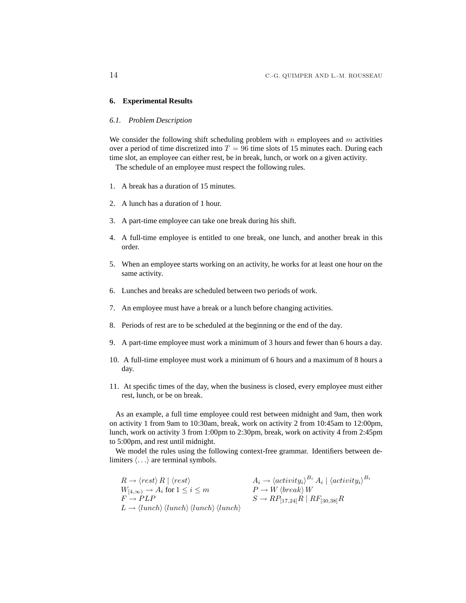# **6. Experimental Results**

# *6.1. Problem Description*

We consider the following shift scheduling problem with  $n$  employees and  $m$  activities over a period of time discretized into  $T = 96$  time slots of 15 minutes each. During each time slot, an employee can either rest, be in break, lunch, or work on a given activity.

The schedule of an employee must respect the following rules.

- 1. A break has a duration of 15 minutes.
- 2. A lunch has a duration of 1 hour.
- 3. A part-time employee can take one break during his shift.
- 4. A full-time employee is entitled to one break, one lunch, and another break in this order.
- 5. When an employee starts working on an activity, he works for at least one hour on the same activity.
- 6. Lunches and breaks are scheduled between two periods of work.
- 7. An employee must have a break or a lunch before changing activities.
- 8. Periods of rest are to be scheduled at the beginning or the end of the day.
- 9. A part-time employee must work a minimum of 3 hours and fewer than 6 hours a day.
- 10. A full-time employee must work a minimum of 6 hours and a maximum of 8 hours a day.
- 11. At specific times of the day, when the business is closed, every employee must either rest, lunch, or be on break.

As an example, a full time employee could rest between midnight and 9am, then work on activity 1 from 9am to 10:30am, break, work on activity 2 from 10:45am to 12:00pm, lunch, work on activity 3 from 1:00pm to 2:30pm, break, work on activity 4 from 2:45pm to 5:00pm, and rest until midnight.

We model the rules using the following context-free grammar. Identifiers between delimiters  $\langle \ldots \rangle$  are terminal symbols.

 $R \rightarrow \langle rest \rangle R \mid \langle rest \rangle$  ${}^{B_i}$  A<sub>i</sub> |  $\left\langle {activity_i} \right\rangle ^{B_i}$  $W_{[4,\infty)} \to A_i$  for  $1 \leq i \leq m$ <br> $F \to PLP$  $S \to RP$ <sub>[17,24]</sub> $R$  |  $RF$ <sub>[30,38]</sub> $R$  $L \rightarrow \langle lunch \rangle \langle lunch \rangle \langle lunch \rangle$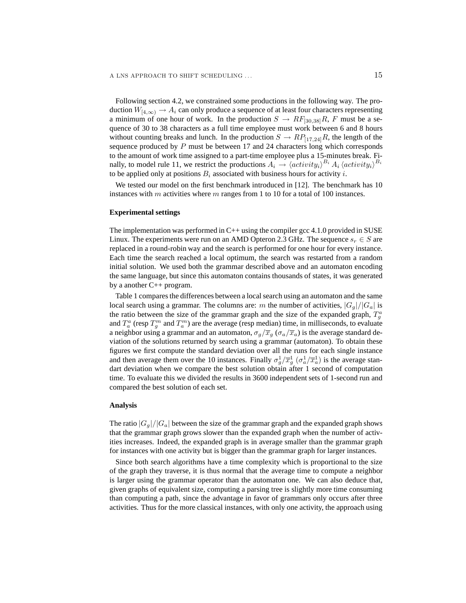Following section 4.2, we constrained some productions in the following way. The production  $W_{[4,\infty)} \to A_i$  can only produce a sequence of at least four characters representing a minimum of one hour of work. In the production  $S \to RF_{[30,38]}R$ , F must be a sequence of 30 to 38 characters as a full time employee must work between 6 and 8 hours without counting breaks and lunch. In the production  $S \to RP_{117,24}R$ , the length of the sequence produced by  $P$  must be between 17 and 24 characters long which corresponds to the amount of work time assigned to a part-time employee plus a 15-minutes break. Finally, to model rule 11, we restrict the productions  $A_i \rightarrow \langle activity_i\rangle^{B_i} A_i \langle activity_i\rangle^{B_i}$ to be applied only at positions  $B_i$  associated with business hours for activity i.

We tested our model on the first benchmark introduced in [12]. The benchmark has 10 instances with m activities where m ranges from 1 to 10 for a total of 100 instances.

## **Experimental settings**

The implementation was performed in  $C_{++}$  using the compiler gcc 4.1.0 provided in SUSE Linux. The experiments were run on an AMD Opteron 2.3 GHz. The sequence  $s_r \in S$  are replaced in a round-robin way and the search is performed for one hour for every instance. Each time the search reached a local optimum, the search was restarted from a random initial solution. We used both the grammar described above and an automaton encoding the same language, but since this automaton contains thousands of states, it was generated by a another C++ program.

Table 1 compares the differences between a local search using an automaton and the same local search using a grammar. The columns are: m the number of activities,  $|G_q|/|G_q|$  is the ratio between the size of the grammar graph and the size of the expanded graph,  $T_g^a$ and  $T_a^a$  (resp  $T_g^m$  and  $T_a^m$ ) are the average (resp median) time, in milliseconds, to evaluate a neighbor using a grammar and an automaton,  $\sigma_g/\overline{x}_g$  ( $\sigma_a/\overline{x}_a$ ) is the average standard deviation of the solutions returned by search using a grammar (automaton). To obtain these figures we first compute the standard deviation over all the runs for each single instance and then average them over the 10 instances. Finally  $\sigma_g^1/\overline{x}_g^1$  ( $\sigma_a^1/\overline{x}_a^1$ ) is the average standart deviation when we compare the best solution obtain after 1 second of computation time. To evaluate this we divided the results in 3600 independent sets of 1-second run and compared the best solution of each set.

# **Analysis**

The ratio  $|G_q|/|G_q|$  between the size of the grammar graph and the expanded graph shows that the grammar graph grows slower than the expanded graph when the number of activities increases. Indeed, the expanded graph is in average smaller than the grammar graph for instances with one activity but is bigger than the grammar graph for larger instances.

Since both search algorithms have a time complexity which is proportional to the size of the graph they traverse, it is thus normal that the average time to compute a neighbor is larger using the grammar operator than the automaton one. We can also deduce that, given graphs of equivalent size, computing a parsing tree is slightly more time consuming than computing a path, since the advantage in favor of grammars only occurs after three activities. Thus for the more classical instances, with only one activity, the approach using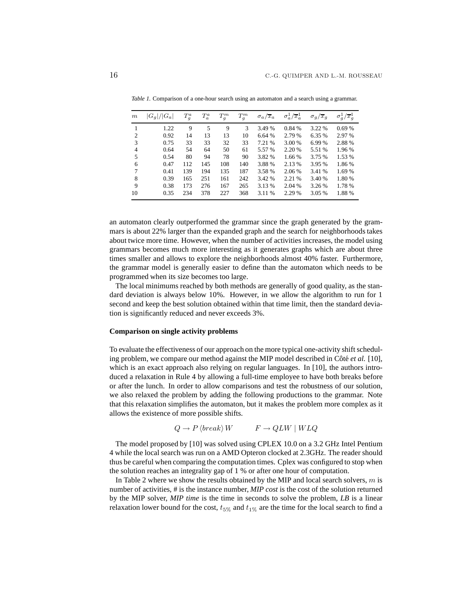| $\,m$ | $ G_q / G_a $ | $T_q^a$ | $T^a_a$ | $T^m_g$ | $T^m_g$ | $\sigma_a/x_a$ | $\sigma_a^1/\overline{x}_a^1$ | $\sigma_q/x_q$ | $\sigma_q^1/\overline{x}_g^1$ |
|-------|---------------|---------|---------|---------|---------|----------------|-------------------------------|----------------|-------------------------------|
|       | 1.22          | 9       | 5       | 9       | 3       | 3.49 %         | 0.84 %                        | 3.22 %         | 0.69%                         |
| 2     | 0.92          | 14      | 13      | 13      | 10      | 6.64 %         | 2.79 %                        | 6.35 %         | 2.97 %                        |
| 3     | 0.75          | 33      | 33      | 32      | 33      | 7.21 %         | 3.00 %                        | 6.99 %         | 2.88 %                        |
| 4     | 0.64          | 54      | 64      | 50      | 61      | 5.57 %         | 2.20 %                        | 5.51 %         | 1.96 %                        |
| 5     | 0.54          | 80      | 94      | 78      | 90      | 3.82 %         | 1.66 %                        | 3.75 %         | 1.53 %                        |
| 6     | 0.47          | 112     | 145     | 108     | 140     | 3.88 %         | 2.13 %                        | 3.95 %         | 1.86 %                        |
| 7     | 0.41          | 139     | 194     | 135     | 187     | 3.58 %         | 2.06 %                        | 3.41 %         | 1.69 %                        |
| 8     | 0.39          | 165     | 251     | 161     | 242     | 3.42 %         | 2.21 %                        | 3.40 %         | 1.80%                         |
| 9     | 0.38          | 173     | 276     | 167     | 265     | 3.13 %         | 2.04 %                        | 3.26 %         | 1.78 %                        |
| 10    | 0.35          | 234     | 378     | 227     | 368     | 3.11 %         | 2.29 %                        | 3.05 %         | 1.88%                         |

*Table 1.* Comparison of a one-hour search using an automaton and a search using a grammar.

an automaton clearly outperformed the grammar since the graph generated by the grammars is about 22% larger than the expanded graph and the search for neighborhoods takes about twice more time. However, when the number of activities increases, the model using grammars becomes much more interesting as it generates graphs which are about three times smaller and allows to explore the neighborhoods almost 40% faster. Furthermore, the grammar model is generally easier to define than the automaton which needs to be programmed when its size becomes too large.

The local minimums reached by both methods are generally of good quality, as the standard deviation is always below 10%. However, in we allow the algorithm to run for 1 second and keep the best solution obtained within that time limit, then the standard deviation is significantly reduced and never exceeds 3%.

## **Comparison on single activity problems**

To evaluate the effectiveness of our approach on the more typical one-activity shift scheduling problem, we compare our method against the MIP model described in Côté *et al.* [10], which is an exact approach also relying on regular languages. In [10], the authors introduced a relaxation in Rule 4 by allowing a full-time employee to have both breaks before or after the lunch. In order to allow comparisons and test the robustness of our solution, we also relaxed the problem by adding the following productions to the grammar. Note that this relaxation simplifies the automaton, but it makes the problem more complex as it allows the existence of more possible shifts.

 $Q \to P \langle break \rangle W$   $F \to QLW \mid WLQ$ 

The model proposed by [10] was solved using CPLEX 10.0 on a 3.2 GHz Intel Pentium 4 while the local search was run on a AMD Opteron clocked at 2.3GHz. The reader should thus be careful when comparing the computation times. Cplex was configured to stop when the solution reaches an integrality gap of 1 % or after one hour of computation.

In Table 2 where we show the results obtained by the MIP and local search solvers,  $m$  is number of activities, # is the instance number, *MIP cost* is the cost of the solution returned by the MIP solver, *MIP time* is the time in seconds to solve the problem, *LB* is a linear relaxation lower bound for the cost,  $t_{5\%}$  and  $t_{1\%}$  are the time for the local search to find a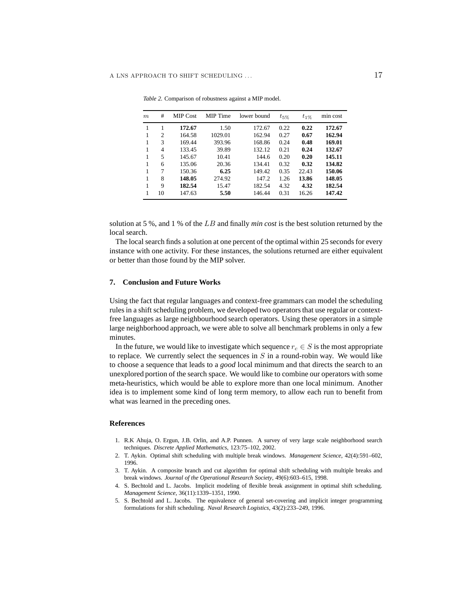| $\boldsymbol{m}$ | #              | <b>MIP Cost</b> | MIP Time | lower bound | $t_{5\%}$ | $t_{1\%}$ | min cost |
|------------------|----------------|-----------------|----------|-------------|-----------|-----------|----------|
|                  |                | 172.67          | 1.50     | 172.67      | 0.22      | 0.22      | 172.67   |
|                  | $\mathfrak{D}$ | 164.58          | 1029.01  | 162.94      | 0.27      | 0.67      | 162.94   |
| 1                | 3              | 169.44          | 393.96   | 168.86      | 0.24      | 0.48      | 169.01   |
| 1                | 4              | 133.45          | 39.89    | 132.12      | 0.21      | 0.24      | 132.67   |
| 1                | 5              | 145.67          | 10.41    | 144.6       | 0.20      | 0.20      | 145.11   |
| 1                | 6              | 135.06          | 20.36    | 134.41      | 0.32      | 0.32      | 134.82   |
| 1                | 7              | 150.36          | 6.25     | 149.42      | 0.35      | 22.43     | 150.06   |
| 1                | 8              | 148.05          | 274.92   | 147.2       | 1.26      | 13.86     | 148.05   |
| 1                | 9              | 182.54          | 15.47    | 182.54      | 4.32      | 4.32      | 182.54   |
| 1                | 10             | 147.63          | 5.50     | 146.44      | 0.31      | 16.26     | 147.42   |

*Table 2.* Comparison of robustness against a MIP model.

solution at 5 %, and 1 % of the LB and finally *min cost* is the best solution returned by the local search.

The local search finds a solution at one percent of the optimal within 25 seconds for every instance with one activity. For these instances, the solutions returned are either equivalent or better than those found by the MIP solver.

#### **7. Conclusion and Future Works**

Using the fact that regular languages and context-free grammars can model the scheduling rules in a shift scheduling problem, we developed two operators that use regular or contextfree languages as large neighbourhood search operators. Using these operators in a simple large neighborhood approach, we were able to solve all benchmark problems in only a few minutes.

In the future, we would like to investigate which sequence  $r_c \in S$  is the most appropriate to replace. We currently select the sequences in  $S$  in a round-robin way. We would like to choose a sequence that leads to a *good* local minimum and that directs the search to an unexplored portion of the search space. We would like to combine our operators with some meta-heuristics, which would be able to explore more than one local minimum. Another idea is to implement some kind of long term memory, to allow each run to benefit from what was learned in the preceding ones.

## **References**

- 1. R.K Ahuja, O. Ergun, J.B. Orlin, and A.P. Punnen. A survey of very large scale neighborhood search techniques. *Discrete Applied Mathematics*, 123:75–102, 2002.
- 2. T. Aykin. Optimal shift scheduling with multiple break windows. *Management Science*, 42(4):591–602, 1996.
- 3. T. Aykin. A composite branch and cut algorithm for optimal shift scheduling with multiple breaks and break windows. *Journal of the Operational Research Society*, 49(6):603–615, 1998.
- 4. S. Bechtold and L. Jacobs. Implicit modeling of flexible break assignment in optimal shift scheduling. *Management Science*, 36(11):1339–1351, 1990.
- 5. S. Bechtold and L. Jacobs. The equivalence of general set-covering and implicit integer programming formulations for shift scheduling. *Naval Research Logistics*, 43(2):233–249, 1996.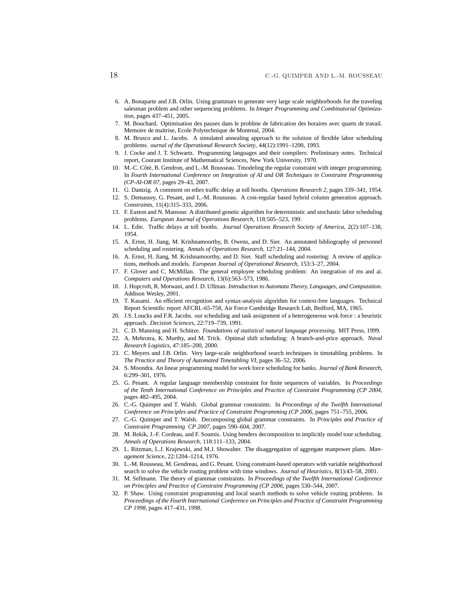- 6. A. Bonaparte and J.B. Orlin. Using grammars to generate very large scale neighborhoods for the traveling salesman problem and other sequencing problems. In *Integer Programming and Combinatorial Optimization*, pages 437–451, 2005.
- 7. M. Bouchard. Optimisation des pauses dans le problme de fabrication des horaires avec quarts de travail. Memoire de maitrise, Ecole Polytechnique de Montreal, 2004.
- 8. M. Brusco and L. Jacobs. A simulated annealing approach to the solution of flexible labor scheduling problems. *ournal of the Operational Research Society*, 44(12):1991–1200, 1993.
- 9. J. Cocke and J. T. Schwartz. Programming languages and their compilers: Preliminary notes. Technical report, Courant Institute of Mathematical Sciences, New York University, 1970.
- 10. M.-C. Côté, B. Gendron, and L.-M. Rousseau. Tmodeling the regular constraint with integer programming. In *Fourth International Conference on Integration of AI and OR Techniques in Constraint Programming (CP-AI-OR 07*, pages 29–43, 2007.
- 11. G. Dantzig. A comment on edies traffic delay at toll booths. *Operations Research 2*, pages 339–341, 1954.
- 12. S. Demassey, G. Pesant, and L.-M. Rousseau. A cost-regular based hybrid column generation approach. *Constraints*, 11(4):315–333, 2006.
- 13. F. Easton and N. Mansour. A distributed genetic algorithm for deterministic and stochastic labor scheduling problems. *European Journal of Operations Research*, 118:505–523, 199.
- 14. L. Edie. Traffic delays at toll booths. *Journal Operations Research Society of America*, 2(2):107–138, 1954.
- 15. A. Ernst, H. Jiang, M. Krishnamoorthy, B. Owens, and D. Sier. An annotated bibliography of personnel scheduling and rostering. *Annals of Operations Research*, 127:21–144, 2004.
- 16. A. Ernst, H. Jiang, M. Krishnamoorthy, and D. Sier. Staff scheduling and rostering: A review of applications, methods and models. *European Journal of Operational Research*, 153:3–27, 2004.
- 17. F. Glover and C. McMillan. The general employee scheduling problem: An integration of ms and ai. *Computers and Operations Research*, 13(6):563–573, 1986.
- 18. J. Hopcroft, R. Motwani, and J. D. Ullman. *Introduction to Automata Theory, Languages, and Computation*. Addison Wesley, 2001.
- 19. T. Kasami. An efficient recognition and syntax-analysis algorithm for context-free languages. Technical Report Scientific report AFCRL-65-758, Air Force Cambridge Research Lab, Bedford, MA, 1965.
- 20. J.S. Loucks and F.R. Jacobs. our scheduling and task assignment of a heterogeneous wok force : a heuristic approach. *Decision Sciences*, 22:719–739, 1991.
- 21. C. D. Manning and H. Schütze. *Foundations of statistical natural language processing*. MIT Press, 1999.
- 22. A. Mehrotra, K. Murthy, and M. Trick. Optimal shift scheduling: A branch-and-price approach. *Naval Research Logistics*, 47:185–200, 2000.
- 23. C. Meyers and J.B. Orlin. Very large-scale neighborhood search techniques in timetabling problems. In *The Practice and Theory of Automated Timetabling VI*, pages 36–52, 2006.
- 24. S. Moondra. An linear programming model for work force scheduling for banks. *Journal of Bank Research*, 6:299–301, 1976.
- 25. G. Pesant. A regular language membership constraint for finite sequences of variables. In *Proceedings of the Tenth International Conference on Principles and Practice of Constraint Programming (CP 2004*, pages 482–495, 2004.
- 26. C.-G. Quimper and T. Walsh. Global grammar constraints. In *Proceedings of the Twelfth International Conference on Principles and Practice of Constraint Programming (CP 2006*, pages 751–755, 2006.
- 27. C.-G. Quimper and T. Walsh. Decomposing global grammar constraints. In *Principles and Practice of Constraint Programming CP 2007*, pages 590–604, 2007.
- 28. M. Rekik, J.-F. Cordeau, and F. Soumis. Using benders decomposition to implicitly model tour scheduling. *Annals of Operations Research*, 118:111–133, 2004.
- 29. L. Ritzman, L.J. Krajewski, and M.J. Showalter. The disaggregation of aggregate manpower plans. *Management Science*, 22:1204–1214, 1976.
- 30. L.-M. Rousseau, M. Gendreau, and G. Pesant. Using constraint-based operators with variable neighborhood search to solve the vehicle routing problem with time windows. *Journal of Heuristics*, 8(1):43–58, 2001.
- 31. M. Sellmann. The theory of grammar constraints. In *Proceedings of the Twelfth International Conference on Principles and Practice of Constraint Programming (CP 2006*, pages 530–544, 2007.
- 32. P. Shaw. Using constraint programming and local search methods to solve vehicle routing problems. In *Proceedings of the Fourth International Conference on Principles and Practice of Constraint Programming CP 1998*, pages 417–431, 1998.